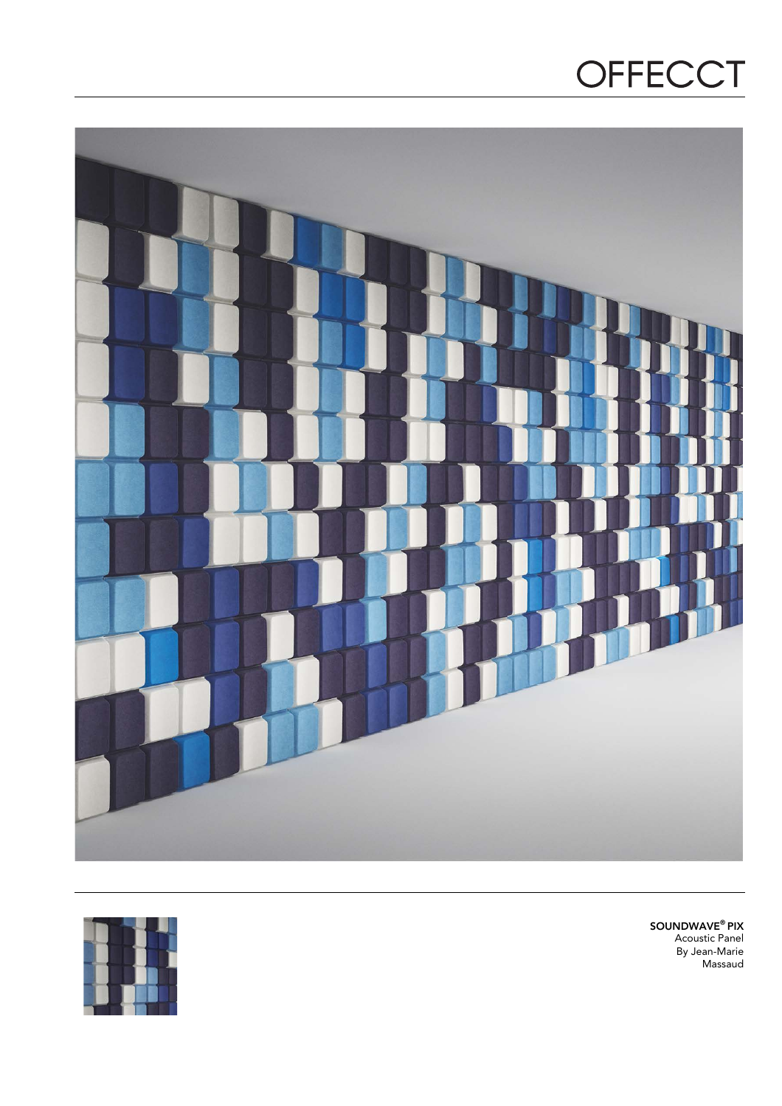# OFFECCT





SOUNDWAVE® PIX Acoustic Panel By Jean-Marie Massaud